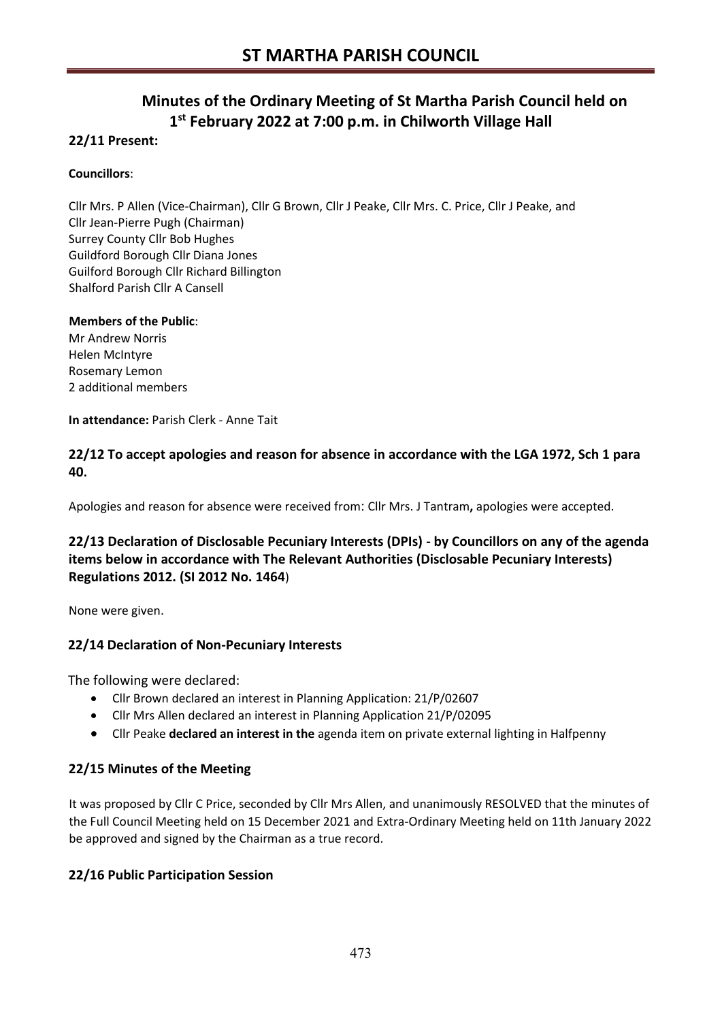# **Minutes of the Ordinary Meeting of St Martha Parish Council held on 1 st February 2022 at 7:00 p.m. in Chilworth Village Hall**

## **22/11 Present:**

### **Councillors**:

Cllr Mrs. P Allen (Vice-Chairman), Cllr G Brown, Cllr J Peake, Cllr Mrs. C. Price, Cllr J Peake, and Cllr Jean-Pierre Pugh (Chairman) Surrey County Cllr Bob Hughes Guildford Borough Cllr Diana Jones Guilford Borough Cllr Richard Billington Shalford Parish Cllr A Cansell

#### **Members of the Public**:

Mr Andrew Norris Helen McIntyre Rosemary Lemon 2 additional members

**In attendance:** Parish Clerk - Anne Tait

### **22/12 To accept apologies and reason for absence in accordance with the LGA 1972, Sch 1 para 40.**

Apologies and reason for absence were received from: Cllr Mrs. J Tantram**,** apologies were accepted.

## **22/13 Declaration of Disclosable Pecuniary Interests (DPIs) - by Councillors on any of the agenda items below in accordance with The Relevant Authorities (Disclosable Pecuniary Interests) Regulations 2012. (SI 2012 No. 1464**)

None were given.

## **22/14 Declaration of Non-Pecuniary Interests**

The following were declared:

- Cllr Brown declared an interest in Planning Application: 21/P/02607
- Cllr Mrs Allen declared an interest in Planning Application 21/P/02095
- Cllr Peake **declared an interest in the** agenda item on private external lighting in Halfpenny

#### **22/15 Minutes of the Meeting**

It was proposed by Cllr C Price, seconded by Cllr Mrs Allen, and unanimously RESOLVED that the minutes of the Full Council Meeting held on 15 December 2021 and Extra-Ordinary Meeting held on 11th January 2022 be approved and signed by the Chairman as a true record.

#### **22/16 Public Participation Session**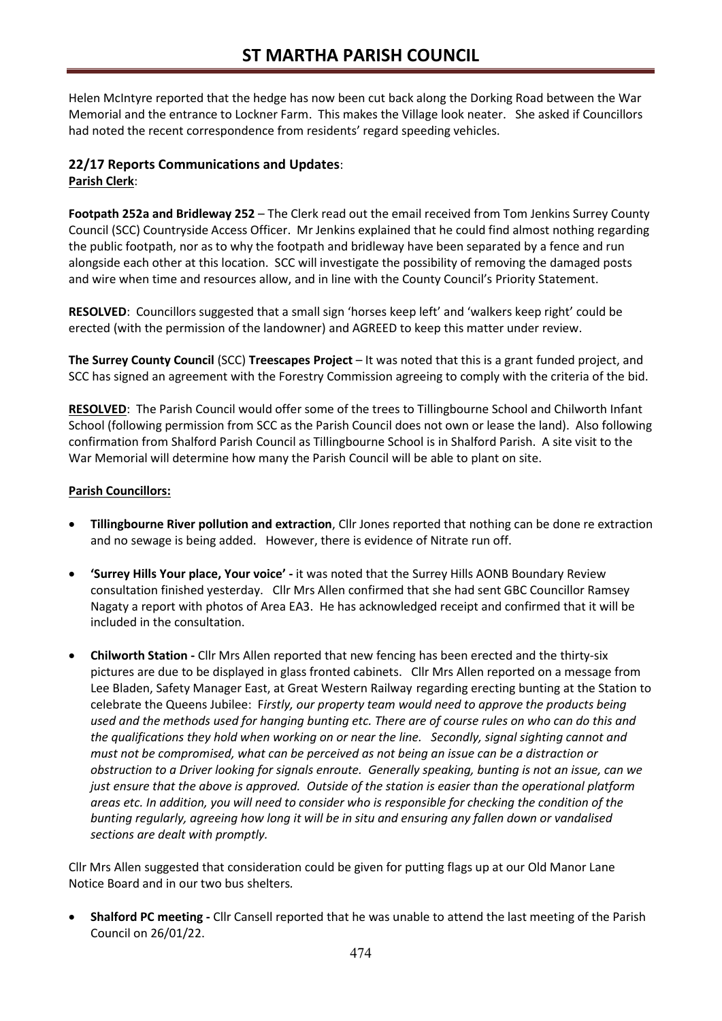Helen McIntyre reported that the hedge has now been cut back along the Dorking Road between the War Memorial and the entrance to Lockner Farm. This makes the Village look neater. She asked if Councillors had noted the recent correspondence from residents' regard speeding vehicles.

## **22/17 Reports Communications and Updates**: **Parish Clerk**:

**Footpath 252a and Bridleway 252** – The Clerk read out the email received from Tom Jenkins Surrey County Council (SCC) Countryside Access Officer. Mr Jenkins explained that he could find almost nothing regarding the public footpath, nor as to why the footpath and bridleway have been separated by a fence and run alongside each other at this location. SCC will investigate the possibility of removing the damaged posts and wire when time and resources allow, and in line with the County Council's Priority Statement.

**RESOLVED**: Councillors suggested that a small sign 'horses keep left' and 'walkers keep right' could be erected (with the permission of the landowner) and AGREED to keep this matter under review.

**The Surrey County Council** (SCC) **Treescapes Project** – It was noted that this is a grant funded project, and SCC has signed an agreement with the Forestry Commission agreeing to comply with the criteria of the bid.

**RESOLVED**: The Parish Council would offer some of the trees to Tillingbourne School and Chilworth Infant School (following permission from SCC as the Parish Council does not own or lease the land). Also following confirmation from Shalford Parish Council as Tillingbourne School is in Shalford Parish. A site visit to the War Memorial will determine how many the Parish Council will be able to plant on site.

## **Parish Councillors:**

- **Tillingbourne River pollution and extraction**, Cllr Jones reported that nothing can be done re extraction and no sewage is being added. However, there is evidence of Nitrate run off.
- **'Surrey Hills Your place, Your voice' -** it was noted that the Surrey Hills AONB Boundary Review consultation finished yesterday. Cllr Mrs Allen confirmed that she had sent GBC Councillor Ramsey Nagaty a report with photos of Area EA3. He has acknowledged receipt and confirmed that it will be included in the consultation.
- **Chilworth Station -** Cllr Mrs Allen reported that new fencing has been erected and the thirty-six pictures are due to be displayed in glass fronted cabinets. Cllr Mrs Allen reported on a message from Lee Bladen, Safety Manager East, at Great Western Railway regarding erecting bunting at the Station to celebrate the Queens Jubilee: F*irstly, our property team would need to approve the products being used and the methods used for hanging bunting etc. There are of course rules on who can do this and the qualifications they hold when working on or near the line. Secondly, signal sighting cannot and must not be compromised, what can be perceived as not being an issue can be a distraction or obstruction to a Driver looking for signals enroute. Generally speaking, bunting is not an issue, can we just ensure that the above is approved. Outside of the station is easier than the operational platform areas etc. In addition, you will need to consider who is responsible for checking the condition of the bunting regularly, agreeing how long it will be in situ and ensuring any fallen down or vandalised sections are dealt with promptly.*

Cllr Mrs Allen suggested that consideration could be given for putting flags up at our Old Manor Lane Notice Board and in our two bus shelters*.*

• **Shalford PC meeting -** Cllr Cansell reported that he was unable to attend the last meeting of the Parish Council on 26/01/22.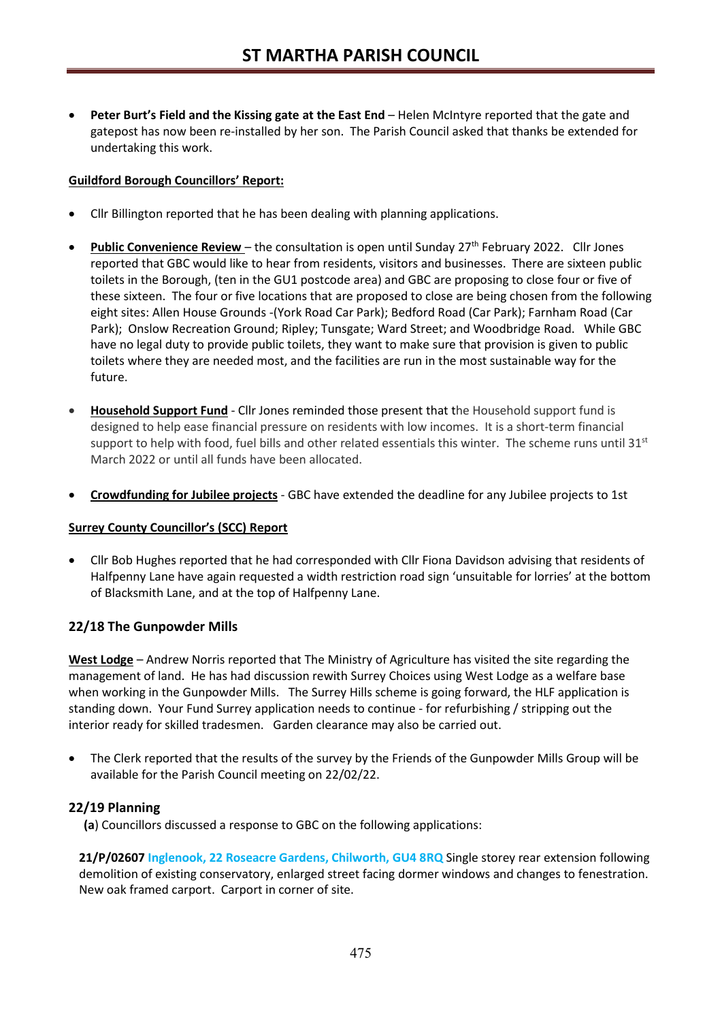• **Peter Burt's Field and the Kissing gate at the East End** – Helen McIntyre reported that the gate and gatepost has now been re-installed by her son. The Parish Council asked that thanks be extended for undertaking this work.

#### **Guildford Borough Councillors' Report:**

- Cllr Billington reported that he has been dealing with planning applications.
- **[Public Convenience Review](https://12cci.trk.elasticemail.com/tracking/click?d=BGZYSjr0B0-5oePRUuX_7Y-e2I9tljq5GZSKRH1pjT-r0ypKyIMwomHcyHgO6fHAKMYU_c0g56zh7hWP3f4HRMJEiQrQGNCzLoD1_9ZM5pnEt8oPegto_bvovZXLTSO3LxHKUr9x5mtvwuCqxZBI8lc1)** the consultation is open until Sunday 27<sup>th</sup> February 2022. Cllr Jones reported that GBC would like to hear from residents, visitors and businesses. There are sixteen public toilets in the Borough, (ten in the GU1 postcode area) and GBC are proposing to close four or five of these sixteen. The four or five locations that are proposed to close are being chosen from the following eight sites: Allen House Grounds -(York Road Car Park); Bedford Road (Car Park); Farnham Road (Car Park); Onslow Recreation Ground; Ripley; Tunsgate; Ward Street; and Woodbridge Road. While GBC have no legal duty to provide public toilets, they want to make sure that provision is given to public toilets where they are needed most, and the facilities are run in the most sustainable way for the future.
- **Household Support Fund** Cllr Jones reminded those present that the Household support fund is designed to help ease financial pressure on residents with low incomes. It is a short-term financial support to help with food, fuel bills and other related essentials this winter. The scheme runs until 31 $^{st}$ March 2022 or until all funds have been allocated.
- **Crowdfunding for Jubilee projects** GBC have extended the deadline for any Jubilee projects to 1st

## **Surrey County Councillor's (SCC) Report**

• Cllr Bob Hughes reported that he had corresponded with Cllr Fiona Davidson advising that residents of Halfpenny Lane have again requested a width restriction road sign 'unsuitable for lorries' at the bottom of Blacksmith Lane, and at the top of Halfpenny Lane.

## **22/18 The Gunpowder Mills**

**West Lodge** – Andrew Norris reported that The Ministry of Agriculture has visited the site regarding the management of land. He has had discussion rewith Surrey Choices using West Lodge as a welfare base when working in the Gunpowder Mills. The Surrey Hills scheme is going forward, the HLF application is standing down. Your Fund Surrey application needs to continue - for refurbishing / stripping out the interior ready for skilled tradesmen. Garden clearance may also be carried out.

• The Clerk reported that the results of the survey by the Friends of the Gunpowder Mills Group will be available for the Parish Council meeting on 22/02/22.

## **22/19 Planning**

**(a**) Councillors discussed a response to GBC on the following applications:

**21/P/02607 Inglenook, 22 Roseacre Gardens, Chilworth, GU4 8RQ** Single storey rear extension following demolition of existing conservatory, enlarged street facing dormer windows and changes to fenestration. New oak framed carport. Carport in corner of site.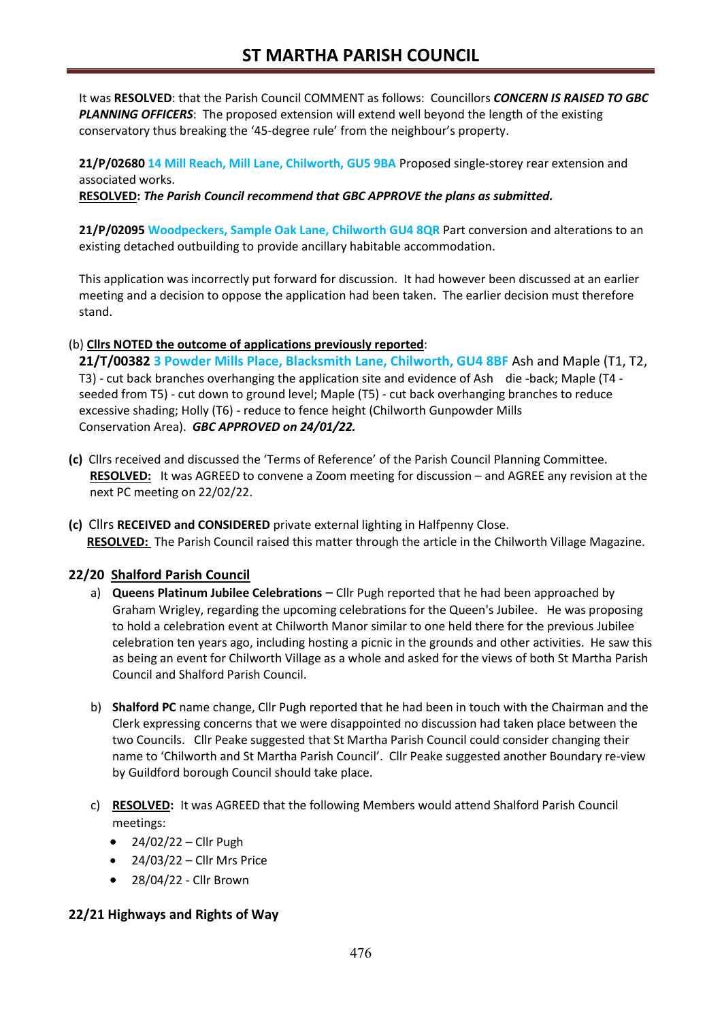# **ST MARTHA PARISH COUNCIL**

It was **RESOLVED**: that the Parish Council COMMENT as follows: Councillors *CONCERN IS RAISED TO GBC PLANNING OFFICERS*: The proposed extension will extend well beyond the length of the existing conservatory thus breaking the '45-degree rule' from the neighbour's property.

**21/P/02680 14 Mill Reach, Mill Lane, Chilworth, GU5 9BA** Proposed single-storey rear extension and associated works.

**RESOLVED:** *The Parish Council recommend that GBC APPROVE the plans as submitted.*

**21/P/02095 Woodpeckers, Sample Oak Lane, Chilworth GU4 8QR** Part conversion and alterations to an existing detached outbuilding to provide ancillary habitable accommodation.

This application was incorrectly put forward for discussion. It had however been discussed at an earlier meeting and a decision to oppose the application had been taken. The earlier decision must therefore stand.

#### (b) **Cllrs NOTED the outcome of applications previously reported**:

**21/T/00382 3 Powder Mills Place, Blacksmith Lane, Chilworth, GU4 8BF** Ash and Maple (T1, T2, T3) - cut back branches overhanging the application site and evidence of Ash die -back; Maple (T4 seeded from T5) - cut down to ground level; Maple (T5) - cut back overhanging branches to reduce excessive shading; Holly (T6) - reduce to fence height (Chilworth Gunpowder Mills Conservation Area). *GBC APPROVED on 24/01/22.*

- **(c)** Cllrs received and discussed the 'Terms of Reference' of the Parish Council Planning Committee.  **RESOLVED:** It was AGREED to convene a Zoom meeting for discussion – and AGREE any revision at the next PC meeting on 22/02/22.
- **(c)** Cllrs **RECEIVED and CONSIDERED** private external lighting in Halfpenny Close. **RESOLVED:** The Parish Council raised this matter through the article in the Chilworth Village Magazine.

#### **22/20 Shalford Parish Council**

- a) **Queens Platinum Jubilee Celebrations** Cllr Pugh reported that he had been approached by Graham Wrigley, regarding the upcoming celebrations for the Queen's Jubilee. He was proposing to hold a celebration event at Chilworth Manor similar to one held there for the previous Jubilee celebration ten years ago, including hosting a picnic in the grounds and other activities. He saw this as being an event for Chilworth Village as a whole and asked for the views of both St Martha Parish Council and Shalford Parish Council.
- b) **Shalford PC** name change, Cllr Pugh reported that he had been in touch with the Chairman and the Clerk expressing concerns that we were disappointed no discussion had taken place between the two Councils. Cllr Peake suggested that St Martha Parish Council could consider changing their name to 'Chilworth and St Martha Parish Council'. Cllr Peake suggested another Boundary re-view by Guildford borough Council should take place.
- c) **RESOLVED:** It was AGREED that the following Members would attend Shalford Parish Council meetings:
	- $\bullet$  24/02/22 Cllr Pugh
	- $\bullet$  24/03/22 Cllr Mrs Price
	- 28/04/22 Cllr Brown

#### **22/21 Highways and Rights of Way**